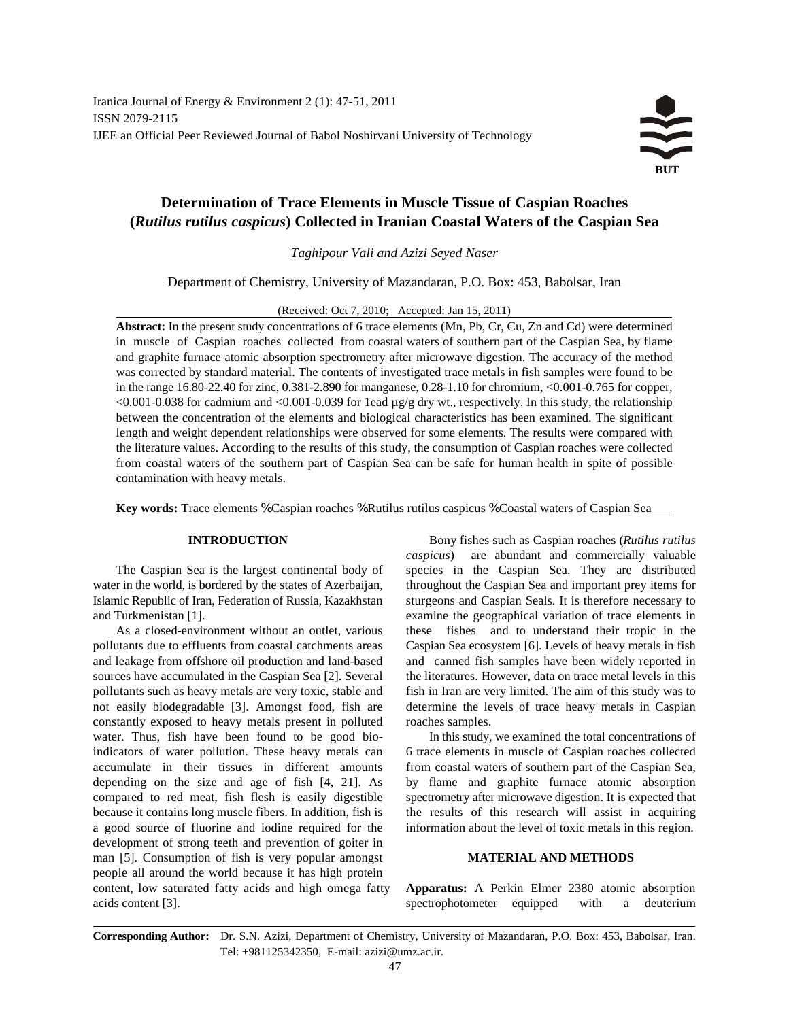

# **Determination of Trace Elements in Muscle Tissue of Caspian Roaches (***Rutilus rutilus caspicus***) Collected in Iranian Coastal Waters of the Caspian Sea**

*Taghipour Vali and Azizi Seyed Naser*

Department of Chemistry, University of Mazandaran, P.O. Box: 453, Babolsar, Iran

(Received: Oct 7, 2010; Accepted: Jan 15, 2011)

**Abstract:** In the present study concentrations of 6 trace elements (Mn, Pb, Cr, Cu, Zn and Cd) were determined in muscle of Caspian roaches collected from coastal waters of southern part of the Caspian Sea, by flame and graphite furnace atomic absorption spectrometry after microwave digestion. The accuracy of the method was corrected by standard material. The contents of investigated trace metals in fish samples were found to be in the range 16.80-22.40 for zinc, 0.381-2.890 for manganese, 0.28-1.10 for chromium, <0.001-0.765 for copper, <0.001-0.038 for cadmium and <0.001-0.039 for 1ead µg/g dry wt., respectively. In this study, the relationship between the concentration of the elements and biological characteristics has been examined. The significant length and weight dependent relationships were observed for some elements. The results were compared with the literature values. According to the results of this study, the consumption of Caspian roaches were collected from coastal waters of the southern part of Caspian Sea can be safe for human health in spite of possible contamination with heavy metals.

**Key words:** Trace elements % Caspian roaches % Rutilus rutilus caspicus % Coastal waters of Caspian Sea

water in the world, is bordered by the states of Azerbaijan, throughout the Caspian Sea and important prey items for Islamic Republic of Iran, Federation of Russia, Kazakhstan sturgeons and Caspian Seals. It is therefore necessary to and Turkmenistan [1]. examine the geographical variation of trace elements in

pollutants due to effluents from coastal catchments areas Caspian Sea ecosystem [6]. Levels of heavy metals in fish and leakage from offshore oil production and land-based and canned fish samples have been widely reported in sources have accumulated in the Caspian Sea [2]. Several the literatures. However, data on trace metal levels in this pollutants such as heavy metals are very toxic, stable and fish in Iran are very limited. The aim of this study was to not easily biodegradable [3]. Amongst food, fish are determine the levels of trace heavy metals in Caspian constantly exposed to heavy metals present in polluted roaches samples. water. Thus, fish have been found to be good bio-<br>In this study, we examined the total concentrations of indicators of water pollution. These heavy metals can 6 trace elements in muscle of Caspian roaches collected accumulate in their tissues in different amounts from coastal waters of southern part of the Caspian Sea, depending on the size and age of fish [4, 21]. As by flame and graphite furnace atomic absorption compared to red meat, fish flesh is easily digestible spectrometry after microwave digestion. It is expected that because it contains long muscle fibers. In addition, fish is the results of this research will assist in acquiring a good source of fluorine and iodine required for the information about the level of toxic metals in this region. development of strong teeth and prevention of goiter in man [5]. Consumption of fish is very popular amongst **MATERIAL AND METHODS** people all around the world because it has high protein content, low saturated fatty acids and high omega fatty **Apparatus:** A Perkin Elmer 2380 atomic absorption acids content [3]. spectrophotometer equipped with a deuterium

**INTRODUCTION** Bony fishes such as Caspian roaches (*Rutilus rutilus* The Caspian Sea is the largest continental body of species in the Caspian Sea. They are distributed As a closed-environment without an outlet, various these fishes and to understand their tropic in the *caspicus*) are abundant and commercially valuable

**Corresponding Author:** Dr. S.N. Azizi, Department of Chemistry, University of Mazandaran, P.O. Box: 453, Babolsar, Iran. Tel: +981125342350, E-mail: azizi@umz.ac.ir.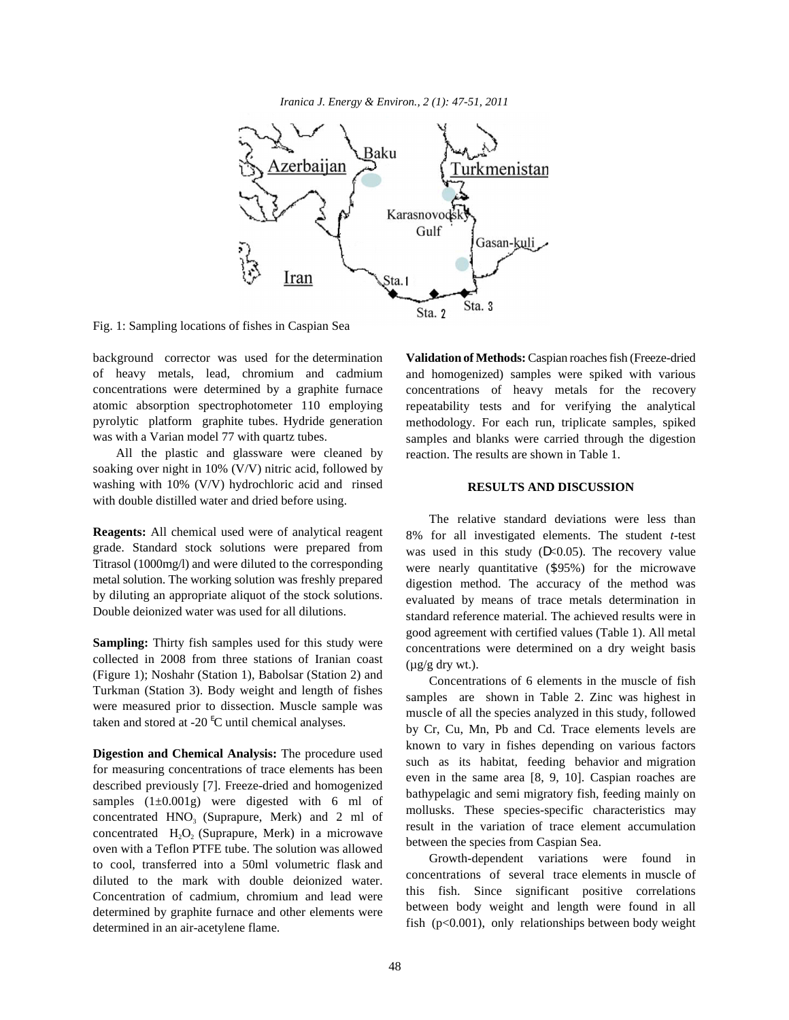*Iranica J. Energy & Environ., 2 (1): 47-51, 2011*



Fig. 1: Sampling locations of fishes in Caspian Sea

of heavy metals, lead, chromium and cadmium concentrations were determined by a graphite furnace atomic absorption spectrophotometer 110 employing pyrolytic platform graphite tubes. Hydride generation was with a Varian model 77 with quartz tubes.

All the plastic and glassware were cleaned by soaking over night in 10% (V/V) nitric acid, followed by washing with 10% (V/V) hydrochloric acid and rinsed with double distilled water and dried before using.

**Reagents:** All chemical used were of analytical reagent grade. Standard stock solutions were prepared from Titrasol (1000mg/l) and were diluted to the corresponding metal solution. The working solution was freshly prepared by diluting an appropriate aliquot of the stock solutions. Double deionized water was used for all dilutions.

**Sampling:** Thirty fish samples used for this study were collected in 2008 from three stations of Iranian coast (Figure 1); Noshahr (Station 1), Babolsar (Station 2) and Turkman (Station 3). Body weight and length of fishes were measured prior to dissection. Muscle sample was taken and stored at -20 $\mathrm{^{E}C}$  until chemical analyses.

**Digestion and Chemical Analysis:** The procedure used for measuring concentrations of trace elements has been described previously [7]. Freeze-dried and homogenized samples  $(1\pm0.001g)$  were digested with 6 ml of concentrated  $HNO<sub>3</sub>$  (Suprapure, Merk) and 2 ml of concentrated  $H_2O_2$  (Suprapure, Merk) in a microwave oven with a Teflon PTFE tube. The solution was allowed to cool, transferred into a 50ml volumetric flask and diluted to the mark with double deionized water. Concentration of cadmium, chromium and lead were determined by graphite furnace and other elements were determined in an air-acetylene flame.

background corrector was used for the determination **Validation of Methods:** Caspian roachesfish (Freeze-dried and homogenized) samples were spiked with various concentrations of heavy metals for the recovery repeatability tests and for verifying the analytical methodology. For each run, triplicate samples, spiked samples and blanks were carried through the digestion reaction. The results are shown in Table 1.

# **RESULTS AND DISCUSSION**

The relative standard deviations were less than 8% for all investigated elements. The student *t-*test was used in this study  $(D<0.05)$ . The recovery value were nearly quantitative (\$95%) for the microwave digestion method. The accuracy of the method was evaluated by means of trace metals determination in standard reference material. The achieved results were in good agreement with certified values (Table 1). All metal concentrations were determined on a dry weight basis  $(\mu g/g$  dry wt.).

Concentrations of 6 elements in the muscle of fish samples are shown in Table 2. Zinc was highest in muscle of all the species analyzed in this study, followed by Cr, Cu, Mn, Pb and Cd. Trace elements levels are known to vary in fishes depending on various factors such as its habitat, feeding behavior and migration even in the same area [8, 9, 10]. Caspian roaches are bathypelagic and semi migratory fish, feeding mainly on mollusks. These species-specific characteristics may result in the variation of trace element accumulation between the species from Caspian Sea.

Growth-dependent variations were found in concentrations of several trace elements in muscle of this fish. Since significant positive correlations between body weight and length were found in all fish  $(p<0.001)$ , only relationships between body weight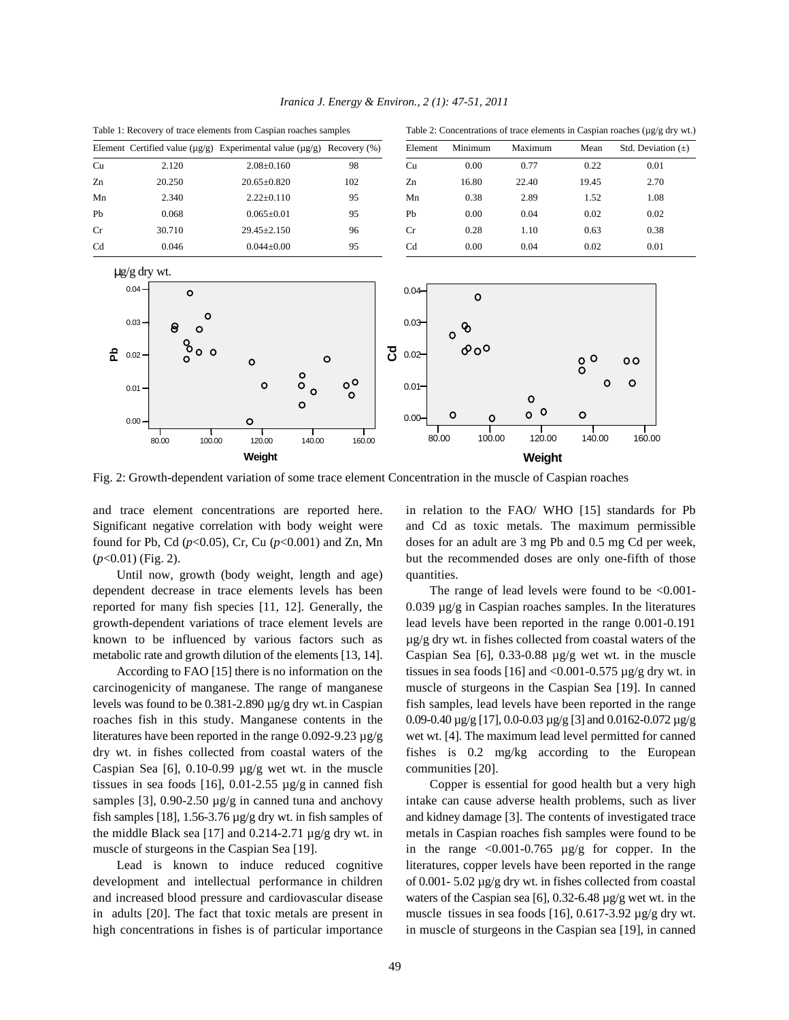

*Iranica J. Energy & Environ., 2 (1): 47-51, 2011*

Fig. 2: Growth-dependent variation of some trace element Concentration in the muscle of Caspian roaches

Until now, growth (body weight, length and age) quantities. dependent decrease in trace elements levels has been The range of lead levels were found to be <0.001 reported for many fish species [11, 12]. Generally, the  $0.039 \mu\text{g/g}$  in Caspian roaches samples. In the literatures growth-dependent variations of trace element levels are lead levels have been reported in the range 0.001-0.191 known to be influenced by various factors such as  $\mu g/g$  dry wt. in fishes collected from coastal waters of the metabolic rate and growth dilution of the elements [13, 14]. Caspian Sea [6], 0.33-0.88 µg/g wet wt. in the muscle

carcinogenicity of manganese. The range of manganese muscle of sturgeons in the Caspian Sea [19]. In canned levels was found to be  $0.381-2.890 \mu g/g$  dry wt. in Caspian fish samples, lead levels have been reported in the range roaches fish in this study. Manganese contents in the 0.09-0.40  $\mu$ g/g [17], 0.0-0.03  $\mu$ g/g [3] and 0.0162-0.072  $\mu$ g/g literatures have been reported in the range  $0.092 - 9.23 \mu g/g$  wet wt. [4]. The maximum lead level permitted for canned dry wt. in fishes collected from coastal waters of the fishes is 0.2 mg/kg according to the European Caspian Sea [6], 0.10-0.99 µg/g wet wt. in the muscle communities [20]. tissues in sea foods [16], 0.01-2.55  $\mu$ g/g in canned fish Copper is essential for good health but a very high samples [3],  $0.90-2.50 \mu g/g$  in canned tuna and anchovy intake can cause adverse health problems, such as liver fish samples [18],  $1.56-3.76 \mu g/g$  dry wt. in fish samples of and kidney damage [3]. The contents of investigated trace the middle Black sea [17] and 0.214-2.71  $\mu$ g/g dry wt. in metals in Caspian roaches fish samples were found to be muscle of sturgeons in the Caspian Sea [19]. in the range  $\langle 0.001 - 0.765 \rangle \mu$ g/g for copper. In the

development and intellectual performance in children of 0.001- 5.02 µg/g dry wt. in fishes collected from coastal and increased blood pressure and cardiovascular disease waters of the Caspian sea [6],  $0.32$ -6.48  $\mu$ g/g wet wt. in the in adults [20]. The fact that toxic metals are present in muscle tissues in sea foods [16],  $0.617-3.92 \mu g/g$  dry wt. high concentrations in fishes is of particular importance in muscle of sturgeons in the Caspian sea [19], in canned

and trace element concentrations are reported here. in relation to the FAO/ WHO [15] standards for Pb Significant negative correlation with body weight were and Cd as toxic metals. The maximum permissible found for Pb, Cd ( $p<0.05$ ), Cr, Cu ( $p<0.001$ ) and Zn, Mn doses for an adult are 3 mg Pb and 0.5 mg Cd per week, (*p*<0.01) (Fig. 2). but the recommended doses are only one-fifth of those

According to FAO [15] there is no information on the tissues in sea foods [16] and <0.001-0.575  $\mu$ g/g dry wt. in

Lead is known to induce reduced cognitive literatures, copper levels have been reported in the range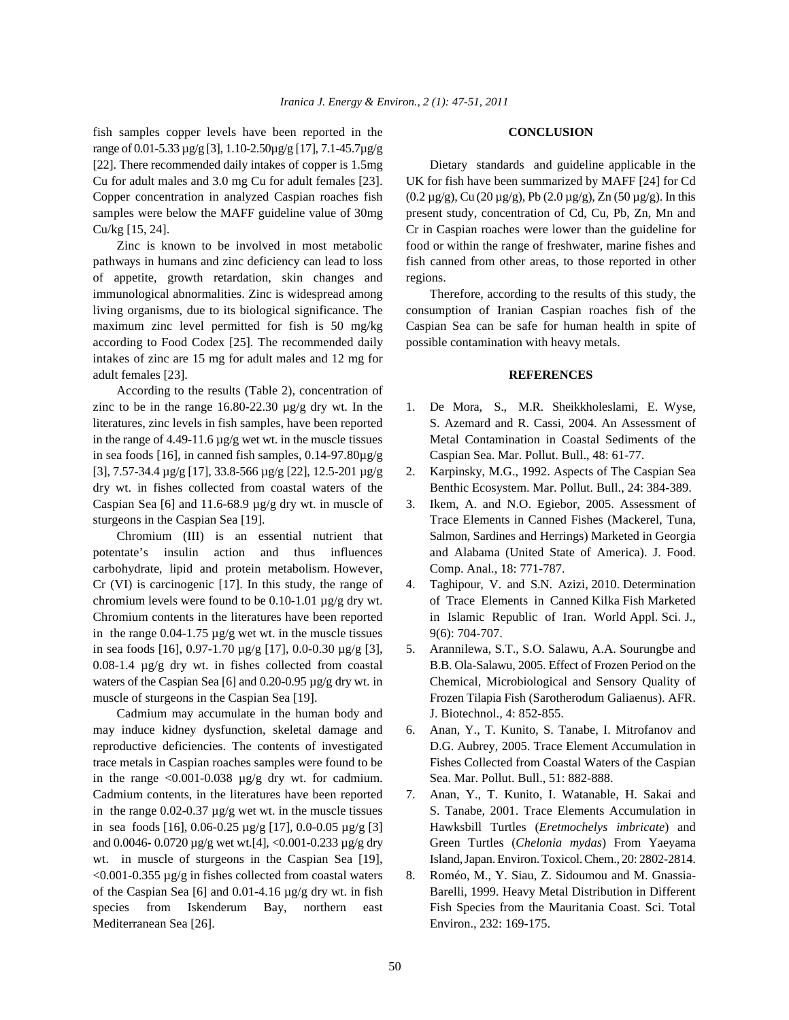fish samples copper levels have been reported in the **CONCLUSION** range of 0.01-5.33 µg/g [3], 1.10-2.50µg/g [17], 7.1-45.7µg/g [22]. There recommended daily intakes of copper is 1.5mg Dietary standards and guideline applicable in the Cu for adult males and 3.0 mg Cu for adult females [23]. UK for fish have been summarized by MAFF [24] for Cd Copper concentration in analyzed Caspian roaches fish  $(0.2 \mu g/g)$ , Cu  $(20 \mu g/g)$ , Pb  $(2.0 \mu g/g)$ , Zn  $(50 \mu g/g)$ . In this samples were below the MAFF guideline value of 30mg present study, concentration of Cd, Cu, Pb, Zn, Mn and Cu/kg [15, 24]. Cr in Caspian roaches were lower than the guideline for

pathways in humans and zinc deficiency can lead to loss fish canned from other areas, to those reported in other of appetite, growth retardation, skin changes and regions. immunological abnormalities. Zinc is widespread among Therefore, according to the results of this study, the living organisms, due to its biological significance. The consumption of Iranian Caspian roaches fish of the maximum zinc level permitted for fish is 50 mg/kg Caspian Sea can be safe for human health in spite of according to Food Codex [25]. The recommended daily possible contamination with heavy metals. intakes of zinc are 15 mg for adult males and 12 mg for adult females [23]. **REFERENCES**

According to the results (Table 2), concentration of zinc to be in the range  $16.80-22.30 \mu g/g$  dry wt. In the 1. De Mora, S., M.R. Sheikkholeslami, E. Wyse, literatures, zinc levels in fish samples, have been reported S. Azemard and R. Cassi, 2004. An Assessment of in the range of 4.49-11.6 µg/g wet wt. in the muscle tissues Metal Contamination in Coastal Sediments of the in sea foods [16], in canned fish samples, 0.14-97.80µg/g Caspian Sea. Mar. Pollut. Bull., 48: 61-77. dry wt. in fishes collected from coastal waters of the Benthic Ecosystem. Mar. Pollut. Bull., 24: 384-389. Caspian Sea [6] and 11.6-68.9 µg/g dry wt. in muscle of 3. Ikem, A. and N.O. Egiebor, 2005. Assessment of sturgeons in the Caspian Sea [19]. Trace Elements in Canned Fishes (Mackerel, Tuna,

potentate's insulin action and thus influences and Alabama (United State of America). J. Food. carbohydrate, lipid and protein metabolism. However, Comp. Anal., 18: 771-787. Cr (VI) is carcinogenic [17]. In this study, the range of 4. Taghipour, V. and S.N. Azizi, 2010. Determination chromium levels were found to be 0.10-1.01 µg/g dry wt. of Trace Elements in Canned Kilka Fish Marketed Chromium contents in the literatures have been reported in Islamic Republic of Iran. World Appl. Sci. J., in the range  $0.04$ -1.75  $\mu$ g/g wet wt. in the muscle tissues 9(6): 704-707. in sea foods [16], 0.97-1.70 µg/g [17], 0.0-0.30 µg/g [3], 5. Arannilewa, S.T., S.O. Salawu, A.A. Sourungbe and 0.08-1.4 µg/g dry wt. in fishes collected from coastal B.B. Ola-Salawu, 2005. Effect of Frozen Period on the waters of the Caspian Sea [6] and 0.20-0.95  $\mu$ g/g dry wt. in Chemical, Microbiological and Sensory Quality of muscle of sturgeons in the Caspian Sea [19]. Frozen Tilapia Fish (Sarotherodum Galiaenus). AFR.

Cadmium may accumulate in the human body and J. Biotechnol., 4: 852-855. may induce kidney dysfunction, skeletal damage and 6. Anan, Y., T. Kunito, S. Tanabe, I. Mitrofanov and reproductive deficiencies. The contents of investigated D.G. Aubrey, 2005. Trace Element Accumulation in trace metals in Caspian roaches samples were found to be Fishes Collected from Coastal Waters of the Caspian in the range  $\langle 0.001$ -0.038  $\mu$ g/g dry wt. for cadmium. Sea. Mar. Pollut. Bull., 51: 882-888. Cadmium contents, in the literatures have been reported 7. Anan, Y., T. Kunito, I. Watanable, H. Sakai and wt. in muscle of sturgeons in the Caspian Sea [19], Island, Japan. Environ. Toxicol. Chem., 20: 2802-2814. <0.001-0.355 µg/g in fishes collected from coastal waters 8. Roméo, M., Y. Siau, Z. Sidoumou and M. Gnassia-Mediterranean Sea [26]. Environ., 232: 169-175.

Zinc is known to be involved in most metabolic food or within the range of freshwater, marine fishes and

- 
- [3], 7.57-34.4 µg/g [17], 33.8-566 µg/g [22], 12.5-201 µg/g 2. Karpinsky, M.G., 1992. Aspects of The Caspian Sea
	- Chromium (III) is an essential nutrient that Salmon, Sardines and Herrings) Marketed in Georgia
		-
		-
		-
- in the range  $0.02-0.37 \mu g/g$  wet wt. in the muscle tissues S. Tanabe, 2001. Trace Elements Accumulation in in sea foods [16], 0.06-0.25 µg/g [17], 0.0-0.05 µg/g [3] Hawksbill Turtles (*Eretmochelys imbricate*) and and 0.0046- 0.0720 µg/g wet wt.[4], <0.001-0.233 µg/g dry Green Turtles (*Chelonia mydas*) From Yaeyama
- of the Caspian Sea [6] and 0.01-4.16 µg/g dry wt. in fish Barelli, 1999. Heavy Metal Distribution in Different species from Iskenderum Bay, northern east Fish Species from the Mauritania Coast. Sci. Total